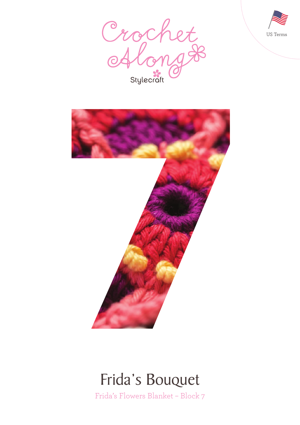





### Frida's Bouquet

Frida's Flowers Blanket – Block 7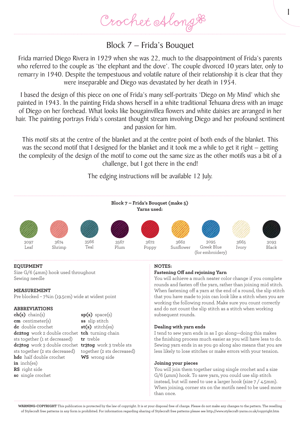Crochet Along &

### Block 7 – Frida's Bouquet

Frida married Diego Rivera in 1929 when she was 22, much to the disappointment of Frida's parents who referred to the couple as 'the elephant and the dove'. The couple divorced 10 years later, only to remarry in 1940. Despite the tempestuous and volatile nature of their relationship it is clear that they were inseparable and Diego was devastated by her death in 1954.

I based the design of this piece on one of Frida's many self-portraits 'Diego on My Mind' which she painted in 1943. In the painting Frida shows herself in a white traditional Tehuana dress with an image of Diego on her forehead. What looks like bougainvillea flowers and white daisies are arranged in her hair. The painting portrays Frida's constant thought stream involving Diego and her profound sentiment and passion for him.

This motif sits at the centre of the blanket and at the centre point of both ends of the blanket. This was the second motif that I designed for the blanket and it took me a while to get it right – getting the complexity of the design of the motif to come out the same size as the other motifs was a bit of a challenge, but I got there in the end!

The edging instructions will be available 12 July.



#### **EQUIPMENT**

Size G/6 (4mm) hook used throughout Sewing needle

#### **MEASUREMENT**

Pre blocked – 7¾in (19.5cm) wide at widest point

#### **ABBREVIATIONS**

**ch(s)** chain(s) **cm** centimeter(s) **dc** double crochet **dc2tog** work 2 double crochet **tch** turning chain sts together (1 st decreased) **dc3tog** work 3 double crochet **tr3tog** work 3 treble sts sts together (2 sts decreased) **hdc** half double crochet **in** inch(es) **RS** right side **sc** single crochet

**sp(s)** space(s) **ss** slip stitch **st(s)** stitch(es) **tr** treble together (2 sts decreased) **WS** wrong side

#### **NOTES:**

#### **Fastening Off and rejoining Yarn**

You will achieve a much neater color change if you complete rounds and fasten off the yarn, rather than joining mid stitch. When fastening off a yarn at the end of a round, the slip stitch that you have made to join can look like a stitch when you are working the following round. Make sure you count correctly and do not count the slip stitch as a stitch when working subsequent rounds.

1

#### **Dealing with yarn ends**

I tend to sew yarn ends in as I go along—doing this makes the finishing process much easier as you will have less to do. Sewing yarn ends in as you go along also means that you are less likely to lose stitches or make errors with your tension.

#### **Joining your pieces**

You will join them together using single crochet and a size G/6 (4mm) hook. To save yarn, you could use slip stitch instead, but will need to use a larger hook (size 7 / 4.5mm). When joining, corner sts on the motifs need to be used more than once.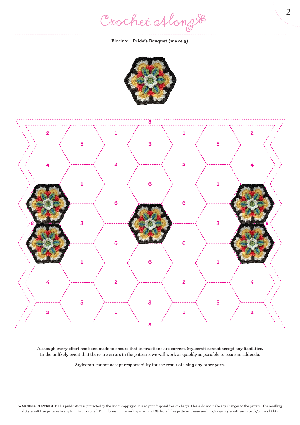Crochet Along #

#### **Block 7 – Frida's Bouquet (make 5)**





**Although every effort has been made to ensure that instructions are correct, Stylecraft cannot accept any liabilities. In the unlikely event that there are errors in the patterns we will work as quickly as possible to issue an addenda.**

**Stylecraft cannot accept responsibility for the result of using any other yarn.**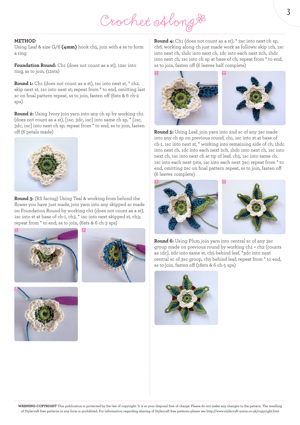# Crochet Along &

#### **METHOD**

Using Leaf & size G/6 **(4mm)** hook ch5, join with a ss to form a ring

**Foundation Round:** Ch1 (does not count as a st), 12sc into ring, ss to join, (12sts)

**Round 1:** Ch1 (does not count as a st), 1sc into next st, \* ch2, skip next st, 1sc into next st; repeat from \* to end, omitting last sc on final pattern repeat, ss to join, fasten off (6sts & 6 ch-2 sps)

**Round 2:** Using Ivory join yarn into any ch sp by working ch1 (does not count as a st), [1sc, 3dc, 1sc] into same ch sp, \* [1sc, 3dc, 1sc] into next ch sp; repeat from \* to end, ss to join, fasten off (6 petals made)



**Round 3:** (RS facing) Using Teal & working from behind the flower you have just made, join yarn into any skipped sc made on Foundation Round by working ch1 (does not count as a st), 1sc into st at base of ch-1, ch3, \* 1sc into next skipped st, ch3; repeat from \* to end, ss to join, (6sts & 6 ch-3 sps)







**Round 4:** Ch1 (does not count as a st), \* 2sc into next ch sp, ch6, working along ch just made work as follows: skip 1ch, 1sc into next ch, 1hdc into next ch, 1dc into each next 2ch, 1hdc into next ch, 1sc into ch sp at base of ch; repeat from \* to end, ss to join, fasten off (6 leaves half complete)



**Round 5:** Using Leaf, join yarn into 2nd sc of any 3sc made into any ch sp on previous round, ch1, 1sc into st at base of ch-1, 1sc into next st, \* working into remaining side of ch, 1hdc into next ch, 1dc into each next 2ch, 1hdc into next ch, 1sc into next ch, 1sc into next ch at tip of leaf, ch5, 1sc into same ch, 1sc into each next 5sts, 1sc into each next 3sc; repeat from \* to end, omitting 2sc on final pattern repeat, ss to join, fasten off (6 leaves complete)





**Round 6:** Using Plum join yarn into central sc of any 3sc group made on previous round by working ch1 + ch2 (counts as 1dc), 2dc into same st, ch5 behind leaf, \*3dc into next central sc of 3sc group, ch5 behind leaf; repeat from \* to end, ss to join, fasten off (18sts & 6 ch-5 sps)

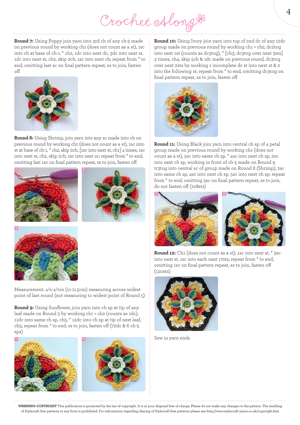Crochet Along &

**Round 7:** Using Poppy join yarn into 3rd ch of any ch-5 made on previous round by working ch1 (does not count as a st), 1sc into ch at base of ch-1, \* ch2, 1dc into next dc, 3dc into next st, 1dc into next st, ch2, skip 2ch, 1sc into next ch; repeat from \* to end, omitting last sc on final pattern repeat, ss to join, fasten off



**Round 8:** Using Shrimp, join yarn into any sc made into ch on previous round by working ch1 (does not count as a st), 1sc into st at base of ch-1, \* ch2, skip 2ch, [1sc into next st, ch1] 4 times, 1sc into next st, ch2, skip 2ch, 1sc into next sc; repeat from \* to end, omitting last 1sc on final pattern repeat, ss to join, fasten off







Measurement: 4¼-4½in (11-11.5cm) measuring across widest point of last round (not measuring to widest point of Round 5)

**Round 9:** Using Sunflower, join yarn into ch sp at tip of any leaf made on Round 5 by working ch1 + ch2 (counts as 1dc), 11dc into same ch sp, ch5, \* 12dc into ch sp at tip of next leaf, ch5; repeat from \* to end, ss to join, fasten off (72dc & 6 ch-5 sps)



**Round 10:** Using Ivory join yarn into top of 2nd dc of any 12dc group made on previous round by working ch1 + ch2, dc2tog into next 1st (counts as dc3tog), \* [ch3, dc3tog over next 3sts] 3 times, ch4, skip 5ch & 1dc made on previous round, dc3tog over next 2sts by working 1 incomplete dc st into next st & 2 into the following st; repeat from \* to end, omitting dc3tog on final pattern repeat, ss to join, fasten off



**Round 11:** Using Black join yarn into central ch sp of 4 petal group made on previous round by working ch1 (does not count as a st), 5sc into same ch sp, \* 4sc into next ch sp, 2sc into next ch sp, working in front of ch-5 made on Round 9 tr3tog into central sc of group made on Round 8 (Shrimp), 2sc into same ch sp, 4sc into next ch sp, 5sc into next ch sp; repeat from \* to end, omitting 5sc on final pattern repeat, ss to join, do not fasten off (108sts)





**Round 12:** Ch1 (does not count as a st), 1sc into next st, \* 3sc into next st, 1sc into each next 17sts; repeat from \* to end, omitting 1sc on final pattern repeat, ss to join, fasten off (120sts)



Sew in yarn ends